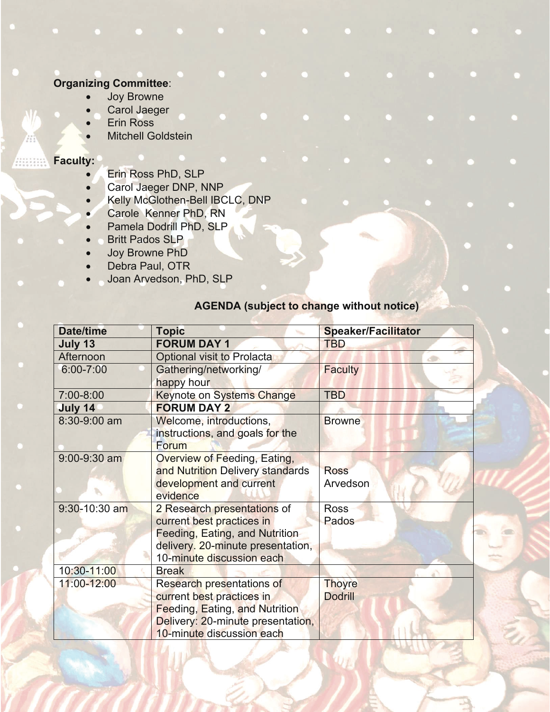## **Organizing Committee**:

- **Joy Browne**
- Carol Jaeger
- **Erin Ross**
- Mitchell Goldstein

## **Faculty:**

- Erin Ross PhD, SLP
- Carol Jaeger DNP, NNP
- x Kelly McGlothen-Bell IBCLC, DNP
- Carole Kenner PhD, RN
- Pamela Dodrill PhD, SLP
- Britt Pados SLP
- Joy Browne PhD
- Debra Paul, OTR
- Joan Arvedson, PhD, SLP

## **AGENDA (subject to change without notice)**

| <b>Date/time</b> | <b>Topic</b>                          | <b>Speaker/Facilitator</b> |
|------------------|---------------------------------------|----------------------------|
| July 13          | <b>FORUM DAY 1</b>                    | <b>TBD</b>                 |
| Afternoon        | Optional visit to Prolacta            |                            |
| $6:00 - 7:00$    | Gathering/networking/                 | <b>Faculty</b>             |
|                  | happy hour                            |                            |
| 7:00-8:00        | <b>Keynote on Systems Change</b>      | <b>TBD</b>                 |
| July 14          | <b>FORUM DAY 2</b>                    |                            |
| 8:30-9:00 am     | Welcome, introductions,               | <b>Browne</b>              |
|                  | instructions, and goals for the       |                            |
|                  | Forum                                 |                            |
| $9:00 - 9:30$ am | <b>Overview of Feeding, Eating,</b>   |                            |
|                  | and Nutrition Delivery standards      | <b>Ross</b>                |
|                  | development and current               | Arvedson                   |
|                  | evidence                              |                            |
| 9:30-10:30 am    | 2 Research presentations of           | <b>Ross</b>                |
|                  | current best practices in             | Pados                      |
|                  | Feeding, Eating, and Nutrition        |                            |
|                  | delivery. 20-minute presentation,     |                            |
|                  | 10-minute discussion each             |                            |
| 10:30-11:00      | <b>Break</b>                          |                            |
| 11:00-12:00      | <b>Research presentations of</b>      | <b>Thoyre</b>              |
|                  | current best practices in             | <b>Dodrill</b>             |
|                  | <b>Feeding, Eating, and Nutrition</b> |                            |
|                  | Delivery: 20-minute presentation,     |                            |
|                  | 10-minute discussion each             |                            |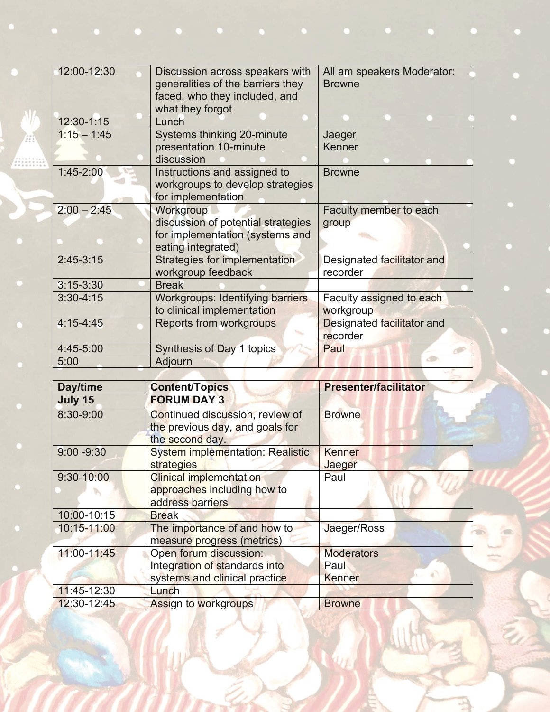| 12:00-12:30   | Discussion across speakers with<br>generalities of the barriers they<br>faced, who they included, and<br>what they forgot | All am speakers Moderator:<br><b>Browne</b> |
|---------------|---------------------------------------------------------------------------------------------------------------------------|---------------------------------------------|
| 12:30-1:15    | Lunch                                                                                                                     |                                             |
| $1:15 - 1:45$ | Systems thinking 20-minute<br>presentation 10-minute<br>discussion                                                        | Jaeger<br>Kenner                            |
| $1:45 - 2:00$ | Instructions and assigned to<br>workgroups to develop strategies<br>for implementation                                    | <b>Browne</b>                               |
| $2:00 - 2:45$ | Workgroup<br>discussion of potential strategies<br>for implementation (systems and<br>eating integrated)                  | Faculty member to each<br>group             |
| $2:45-3:15$   | Strategies for implementation<br>workgroup feedback                                                                       | Designated facilitator and<br>recorder      |
| $3:15 - 3:30$ | <b>Break</b>                                                                                                              |                                             |
| $3:30 - 4:15$ | <b>Workgroups: Identifying barriers</b><br>to clinical implementation                                                     | Faculty assigned to each<br>workgroup       |
| $4:15 - 4:45$ | <b>Reports from workgroups</b>                                                                                            | Designated facilitator and<br>recorder      |
| 4:45-5:00     | Synthesis of Day 1 topics                                                                                                 | Paul                                        |
| 5:00          | Adjourn                                                                                                                   |                                             |
|               |                                                                                                                           |                                             |

| Day/time       | <b>Content/Topics</b>                                                                 | <b>Presenter/facilitator</b> |
|----------------|---------------------------------------------------------------------------------------|------------------------------|
| July 15        | <b>FORUM DAY 3</b>                                                                    |                              |
| 8:30-9:00      | Continued discussion, review of<br>the previous day, and goals for<br>the second day. | <b>Browne</b>                |
| $9:00 - 9:30$  | <b>System implementation: Realistic</b>                                               | Kenner                       |
|                | strategies                                                                            | Jaeger                       |
| $9:30 - 10:00$ | <b>Clinical implementation</b>                                                        | Paul                         |
|                | approaches including how to                                                           |                              |
|                | address barriers                                                                      |                              |
| 10:00-10:15    | <b>Break</b>                                                                          |                              |
| 10:15-11:00    | The importance of and how to                                                          | Jaeger/Ross                  |
|                | measure progress (metrics)                                                            |                              |
| 11:00-11:45    | Open forum discussion:                                                                | <b>Moderators</b>            |
|                | Integration of standards into                                                         | Paul                         |
|                | systems and clinical practice                                                         | <b>Kenner</b>                |
| 11:45-12:30    | Lunch                                                                                 |                              |
| 12:30-12:45    | Assign to workgroups                                                                  | <b>Browne</b>                |